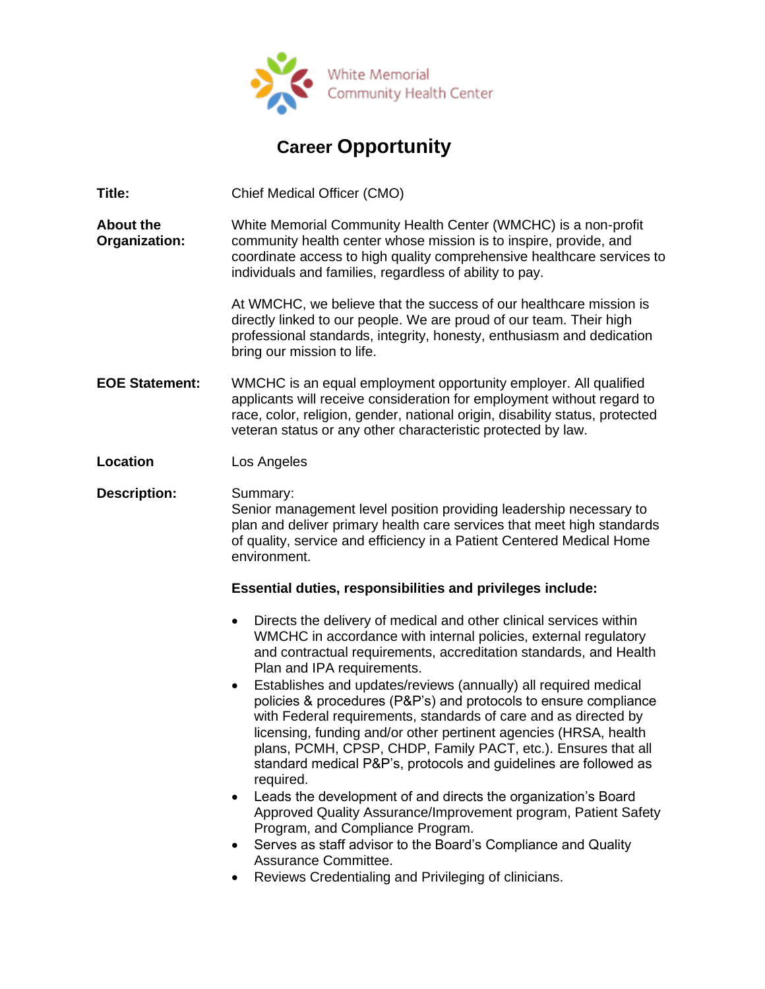

## **Career Opportunity**

**Title:** Chief Medical Officer (CMO)

**About the Organization:** White Memorial Community Health Center (WMCHC) is a non-profit community health center whose mission is to inspire, provide, and coordinate access to high quality comprehensive healthcare services to individuals and families, regardless of ability to pay.

> At WMCHC, we believe that the success of our healthcare mission is directly linked to our people. We are proud of our team. Their high professional standards, integrity, honesty, enthusiasm and dedication bring our mission to life.

- **EOE Statement:** WMCHC is an equal employment opportunity employer. All qualified applicants will receive consideration for employment without regard to race, color, religion, gender, national origin, disability status, protected veteran status or any other characteristic protected by law.
- **Location** Los Angeles

**Description:** Summary: Senior management level position providing leadership necessary to plan and deliver primary health care services that meet high standards of quality, service and efficiency in a Patient Centered Medical Home environment.

## **Essential duties, responsibilities and privileges include:**

- Directs the delivery of medical and other clinical services within WMCHC in accordance with internal policies, external regulatory and contractual requirements, accreditation standards, and Health Plan and IPA requirements.
- Establishes and updates/reviews (annually) all required medical policies & procedures (P&P's) and protocols to ensure compliance with Federal requirements, standards of care and as directed by licensing, funding and/or other pertinent agencies (HRSA, health plans, PCMH, CPSP, CHDP, Family PACT, etc.). Ensures that all standard medical P&P's, protocols and guidelines are followed as required.
- Leads the development of and directs the organization's Board Approved Quality Assurance/Improvement program, Patient Safety Program, and Compliance Program.
- Serves as staff advisor to the Board's Compliance and Quality Assurance Committee.
- Reviews Credentialing and Privileging of clinicians.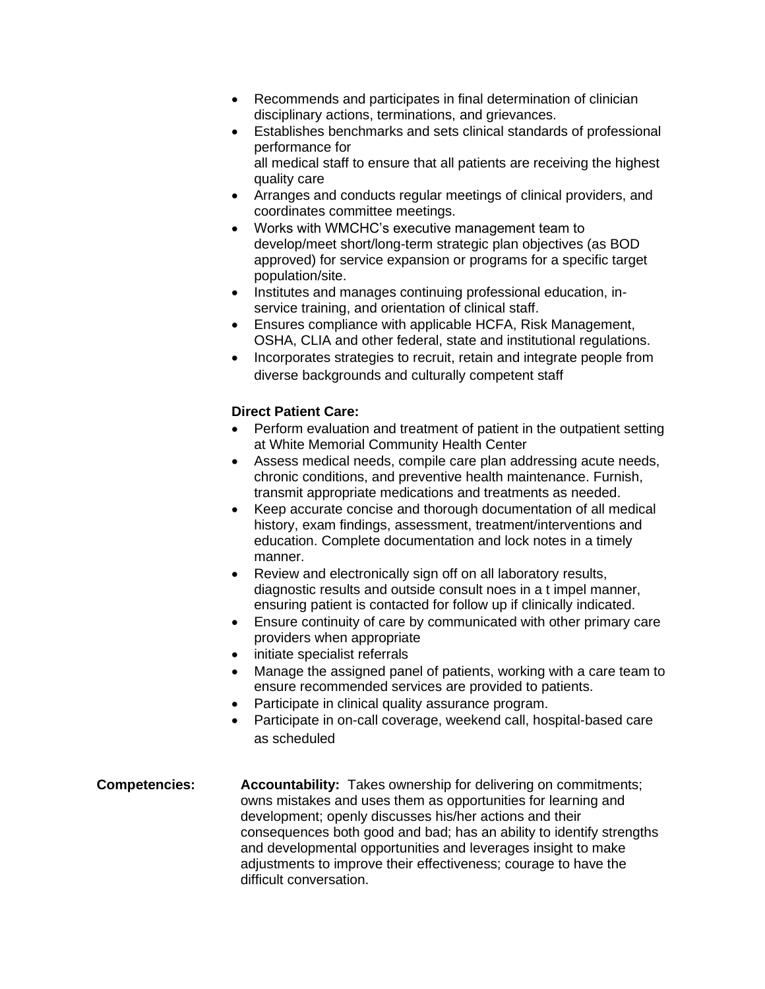- Recommends and participates in final determination of clinician disciplinary actions, terminations, and grievances.
- Establishes benchmarks and sets clinical standards of professional performance for all medical staff to ensure that all patients are receiving the highest
- quality care • Arranges and conducts regular meetings of clinical providers, and coordinates committee meetings.
- Works with WMCHC's executive management team to develop/meet short/long-term strategic plan objectives (as BOD approved) for service expansion or programs for a specific target population/site.
- Institutes and manages continuing professional education, inservice training, and orientation of clinical staff.
- Ensures compliance with applicable HCFA, Risk Management, OSHA, CLIA and other federal, state and institutional regulations.
- Incorporates strategies to recruit, retain and integrate people from diverse backgrounds and culturally competent staff

## **Direct Patient Care:**

- Perform evaluation and treatment of patient in the outpatient setting at White Memorial Community Health Center
- Assess medical needs, compile care plan addressing acute needs, chronic conditions, and preventive health maintenance. Furnish, transmit appropriate medications and treatments as needed.
- Keep accurate concise and thorough documentation of all medical history, exam findings, assessment, treatment/interventions and education. Complete documentation and lock notes in a timely manner.
- Review and electronically sign off on all laboratory results, diagnostic results and outside consult noes in a t impel manner, ensuring patient is contacted for follow up if clinically indicated.
- Ensure continuity of care by communicated with other primary care providers when appropriate
- initiate specialist referrals
- Manage the assigned panel of patients, working with a care team to ensure recommended services are provided to patients.
- Participate in clinical quality assurance program.
- Participate in on-call coverage, weekend call, hospital-based care as scheduled
- **Competencies: Accountability:** Takes ownership for delivering on commitments; owns mistakes and uses them as opportunities for learning and development; openly discusses his/her actions and their consequences both good and bad; has an ability to identify strengths and developmental opportunities and leverages insight to make adjustments to improve their effectiveness; courage to have the difficult conversation.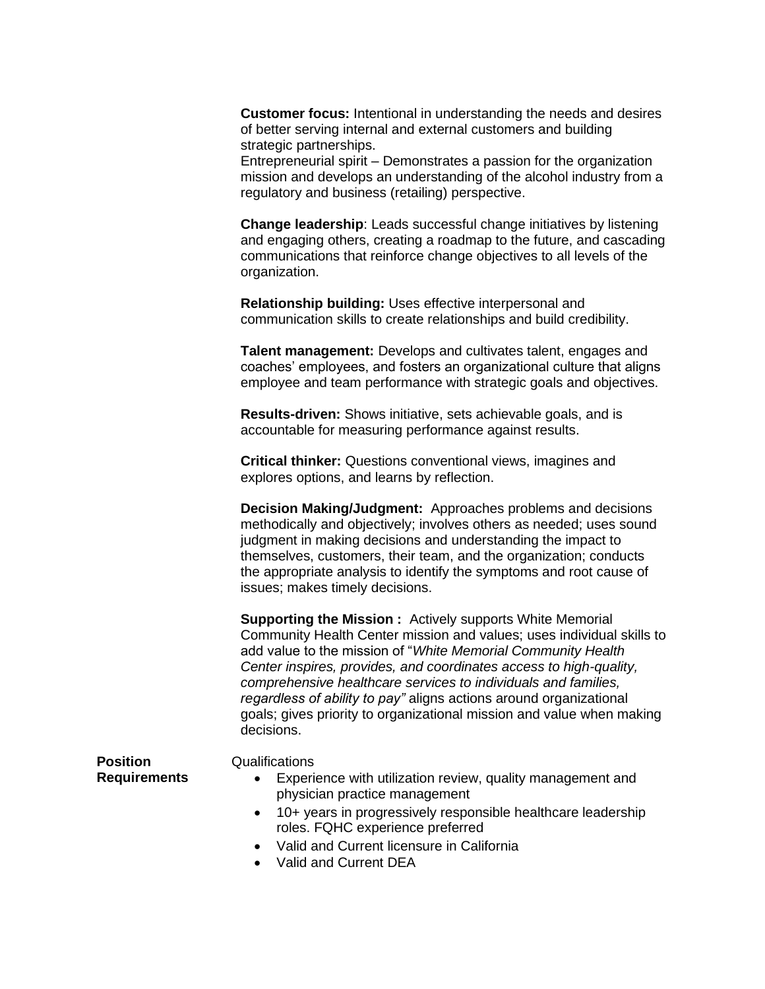**Customer focus:** Intentional in understanding the needs and desires of better serving internal and external customers and building strategic partnerships.

Entrepreneurial spirit – Demonstrates a passion for the organization mission and develops an understanding of the alcohol industry from a regulatory and business (retailing) perspective.

**Change leadership**: Leads successful change initiatives by listening and engaging others, creating a roadmap to the future, and cascading communications that reinforce change objectives to all levels of the organization.

**Relationship building:** Uses effective interpersonal and communication skills to create relationships and build credibility.

**Talent management:** Develops and cultivates talent, engages and coaches' employees, and fosters an organizational culture that aligns employee and team performance with strategic goals and objectives.

**Results-driven:** Shows initiative, sets achievable goals, and is accountable for measuring performance against results.

**Critical thinker:** Questions conventional views, imagines and explores options, and learns by reflection.

**Decision Making/Judgment:** Approaches problems and decisions methodically and objectively; involves others as needed; uses sound judgment in making decisions and understanding the impact to themselves, customers, their team, and the organization; conducts the appropriate analysis to identify the symptoms and root cause of issues; makes timely decisions.

**Supporting the Mission :** Actively supports White Memorial Community Health Center mission and values; uses individual skills to add value to the mission of "*White Memorial Community Health Center inspires, provides, and coordinates access to high-quality, comprehensive healthcare services to individuals and families, regardless of ability to pay"* aligns actions around organizational goals; gives priority to organizational mission and value when making decisions.

**Position Requirements**

## Qualifications

- Experience with utilization review, quality management and physician practice management
- 10+ years in progressively responsible healthcare leadership roles. FQHC experience preferred
- Valid and Current licensure in California
- Valid and Current DEA